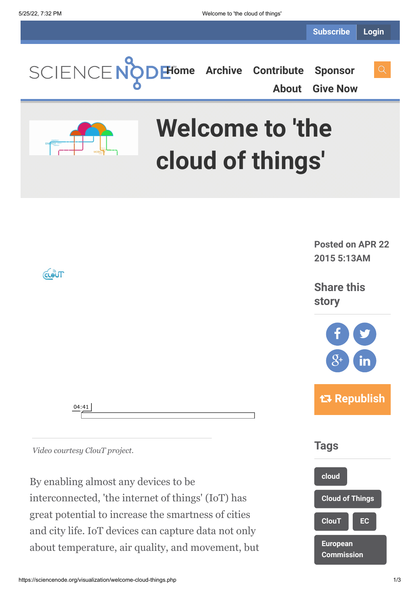

By enabling almost any devices to be interconnected, 'the internet of things' (IoT) has great potential to increase the smartness of cities and city life. IoT devices can capture data not only about temperature, air quality, and movement, but

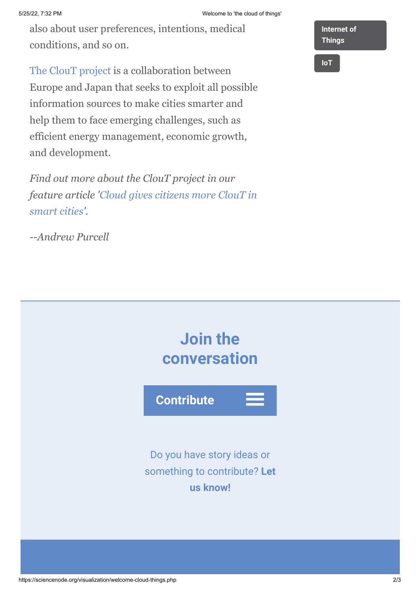also about user preferences, intentions, medical conditions, and so on.

[The ClouT project](http://clout-project.eu/) is a collaboration between Europe and Japan that seeks to exploit all possible information sources to make cities smarter and help them to face emerging challenges, such as efficient energy management, economic growth, and development.

*Find out more about the ClouT project in our [feature article 'Cloud gives citizens more ClouT in](http://www.isgtw.org/feature/cloud-gives-citizens-more-clout-smart-cities) smart cities'.*

--*Andrew Purcell*

**[Internet of](https://sciencenode.org/tag/?tag=Internet%20of%20Things) Things**

**[IoT](https://sciencenode.org/tag/?tag=IoT)**